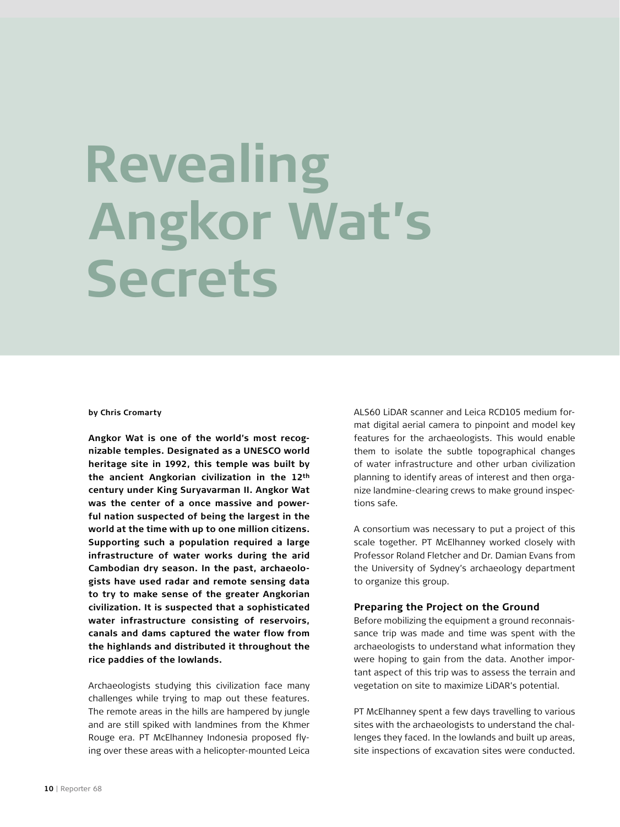# **Revealing Angkor Wat's Secrets**

#### **by Chris Cromarty**

**Angkor Wat is one of the world's most recognizable temples. Designated as a UNESCO world heritage site in 1992, this temple was built by the ancient Angkorian civilization in the 12th century under King Suryavarman II. Angkor Wat was the center of a once massive and powerful nation suspected of being the largest in the world at the time with up to one million citizens. Supporting such a population required a large infrastructure of water works during the arid Cambodian dry season. In the past, archaeologists have used radar and remote sensing data to try to make sense of the greater Angkorian civilization. It is suspected that a sophisticated water infrastructure consisting of reservoirs, canals and dams captured the water flow from the highlands and distributed it throughout the rice paddies of the lowlands.** 

Archaeologists studying this civilization face many challenges while trying to map out these features. The remote areas in the hills are hampered by jungle and are still spiked with landmines from the Khmer Rouge era. PT McElhanney Indonesia proposed flying over these areas with a helicopter-mounted Leica

ALS60 LiDAR scanner and Leica RCD105 medium format digital aerial camera to pinpoint and model key features for the archaeologists. This would enable them to isolate the subtle topographical changes of water infrastructure and other urban civilization planning to identify areas of interest and then organize landmine-clearing crews to make ground inspections safe.

A consortium was necessary to put a project of this scale together. PT McElhanney worked closely with Professor Roland Fletcher and Dr. Damian Evans from the University of Sydney's archaeology department to organize this group.

#### **Preparing the Project on the Ground**

Before mobilizing the equipment a ground reconnaissance trip was made and time was spent with the archaeologists to understand what information they were hoping to gain from the data. Another important aspect of this trip was to assess the terrain and vegetation on site to maximize LiDAR's potential.

PT McElhanney spent a few days travelling to various sites with the archaeologists to understand the challenges they faced. In the lowlands and built up areas, site inspections of excavation sites were conducted.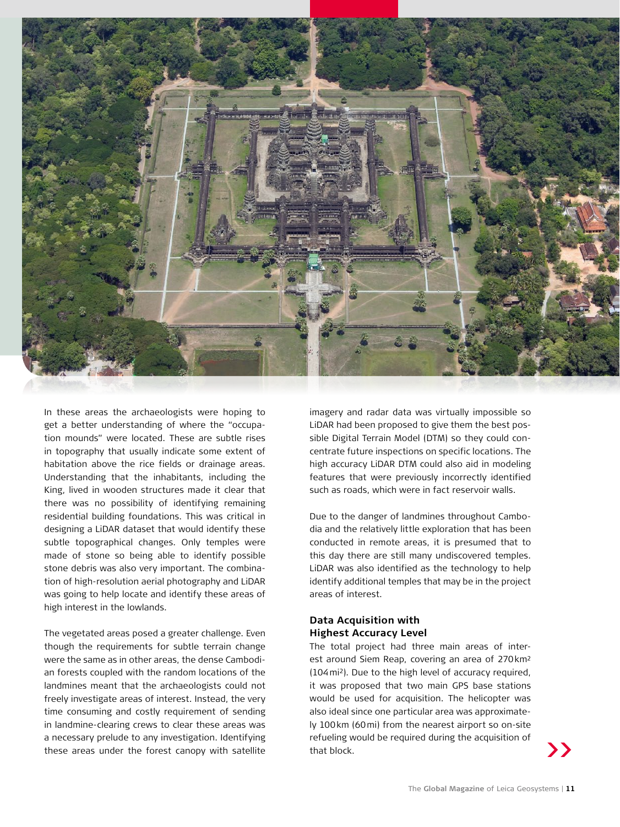

In these areas the archaeologists were hoping to get a better understanding of where the "occupation mounds" were located. These are subtle rises in topography that usually indicate some extent of habitation above the rice fields or drainage areas. Understanding that the inhabitants, including the King, lived in wooden structures made it clear that there was no possibility of identifying remaining residential building foundations. This was critical in designing a LiDAR dataset that would identify these subtle topographical changes. Only temples were made of stone so being able to identify possible stone debris was also very important. The combination of high-resolution aerial photography and LiDAR was going to help locate and identify these areas of high interest in the lowlands.

The vegetated areas posed a greater challenge. Even though the requirements for subtle terrain change were the same as in other areas, the dense Cambodian forests coupled with the random locations of the landmines meant that the archaeologists could not freely investigate areas of interest. Instead, the very time consuming and costly requirement of sending in landmine-clearing crews to clear these areas was a necessary prelude to any investigation. Identifying these areas under the forest canopy with satellite

imagery and radar data was virtually impossible so LiDAR had been proposed to give them the best possible Digital Terrain Model (DTM) so they could concentrate future inspections on specific locations. The high accuracy LiDAR DTM could also aid in modeling features that were previously incorrectly identified such as roads, which were in fact reservoir walls.

Due to the danger of landmines throughout Cambodia and the relatively little exploration that has been conducted in remote areas, it is presumed that to this day there are still many undiscovered temples. LiDAR was also identified as the technology to help identify additional temples that may be in the project areas of interest.

# **Data Acquisition with Highest Accuracy Level**

The total project had three main areas of interest around Siem Reap, covering an area of 270km2 (104mi2). Due to the high level of accuracy required, it was proposed that two main GPS base stations would be used for acquisition. The helicopter was also ideal since one particular area was approximately 100km (60mi) from the nearest airport so on-site refueling would be required during the acquisition of that block.

**>>**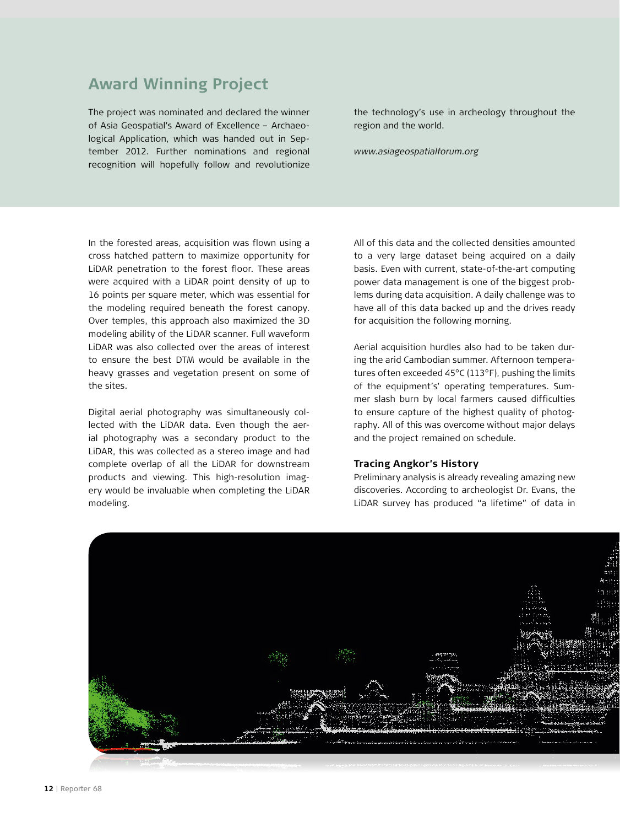# **Award Winning Project**

The project was nominated and declared the winner of Asia Geospatial's Award of Excellence – Archaeological Application, which was handed out in September 2012. Further nominations and regional recognition will hopefully follow and revolutionize

the technology's use in archeology throughout the region and the world.

*www.asiageospatialforum.org*

In the forested areas, acquisition was flown using a cross hatched pattern to maximize opportunity for LiDAR penetration to the forest floor. These areas were acquired with a LiDAR point density of up to 16 points per square meter, which was essential for the modeling required beneath the forest canopy. Over temples, this approach also maximized the 3D modeling ability of the LiDAR scanner. Full waveform LiDAR was also collected over the areas of interest to ensure the best DTM would be available in the heavy grasses and vegetation present on some of the sites.

Digital aerial photography was simultaneously collected with the LiDAR data. Even though the aerial photography was a secondary product to the LiDAR, this was collected as a stereo image and had complete overlap of all the LiDAR for downstream products and viewing. This high-resolution imagery would be invaluable when completing the LiDAR modeling.

All of this data and the collected densities amounted to a very large dataset being acquired on a daily basis. Even with current, state-of-the-art computing power data management is one of the biggest problems during data acquisition. A daily challenge was to have all of this data backed up and the drives ready for acquisition the following morning.

Aerial acquisition hurdles also had to be taken during the arid Cambodian summer. Afternoon temperatures often exceeded 45°C (113°F), pushing the limits of the equipment's' operating temperatures. Summer slash burn by local farmers caused difficulties to ensure capture of the highest quality of photography. All of this was overcome without major delays and the project remained on schedule.

### **Tracing Angkor's History**

Preliminary analysis is already revealing amazing new discoveries. According to archeologist Dr. Evans, the LiDAR survey has produced "a lifetime" of data in